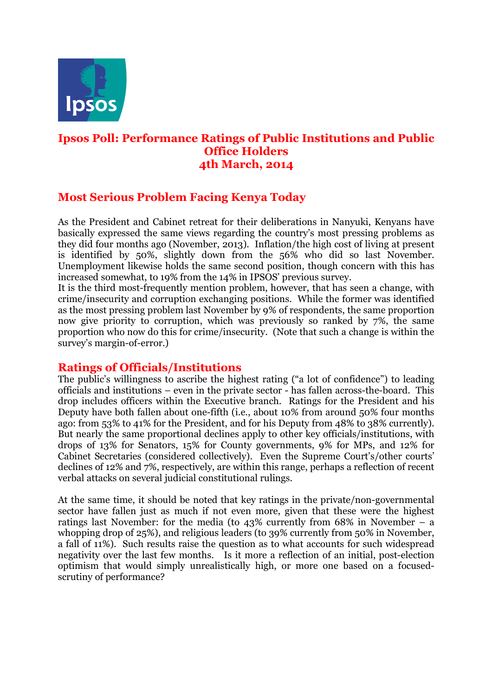

## **Ipsos Poll: Performance Ratings of Public Institutions and Public Office Holders 4th March, 2014**

# **Most Serious Problem Facing Kenya Today**

As the President and Cabinet retreat for their deliberations in Nanyuki, Kenyans have basically expressed the same views regarding the country's most pressing problems as they did four months ago (November, 2013). Inflation/the high cost of living at present is identified by 50%, slightly down from the 56% who did so last November. Unemployment likewise holds the same second position, though concern with this has increased somewhat, to 19% from the 14% in IPSOS' previous survey.

It is the third most-frequently mention problem, however, that has seen a change, with crime/insecurity and corruption exchanging positions. While the former was identified as the most pressing problem last November by 9% of respondents, the same proportion now give priority to corruption, which was previously so ranked by 7%, the same proportion who now do this for crime/insecurity. (Note that such a change is within the survey's margin-of-error.)

### **Ratings of Officials/Institutions**

The public's willingness to ascribe the highest rating ("a lot of confidence") to leading officials and institutions – even in the private sector - has fallen across-the-board. This drop includes officers within the Executive branch. Ratings for the President and his Deputy have both fallen about one-fifth (i.e., about 10% from around 50% four months ago: from 53% to 41% for the President, and for his Deputy from 48% to 38% currently). But nearly the same proportional declines apply to other key officials/institutions, with drops of 13% for Senators, 15% for County governments, 9% for MPs, and 12% for Cabinet Secretaries (considered collectively). Even the Supreme Court's/other courts' declines of 12% and 7%, respectively, are within this range, perhaps a reflection of recent verbal attacks on several judicial constitutional rulings.

At the same time, it should be noted that key ratings in the private/non-governmental sector have fallen just as much if not even more, given that these were the highest ratings last November: for the media (to 43% currently from 68% in November – a whopping drop of 25%), and religious leaders (to 39% currently from 50% in November, a fall of 11%). Such results raise the question as to what accounts for such widespread negativity over the last few months. Is it more a reflection of an initial, post-election optimism that would simply unrealistically high, or more one based on a focusedscrutiny of performance?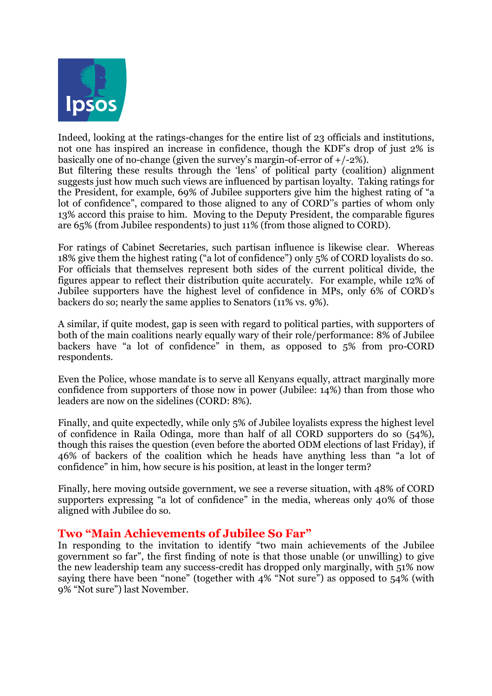

Indeed, looking at the ratings-changes for the entire list of 23 officials and institutions, not one has inspired an increase in confidence, though the KDF's drop of just 2% is basically one of no-change (given the survey's margin-of-error of  $+/-2\%$ ). But filtering these results through the 'lens' of political party (coalition) alignment

suggests just how much such views are influenced by partisan loyalty. Taking ratings for the President, for example, 69% of Jubilee supporters give him the highest rating of "a lot of confidence", compared to those aligned to any of CORD''s parties of whom only 13% accord this praise to him. Moving to the Deputy President, the comparable figures are 65% (from Jubilee respondents) to just 11% (from those aligned to CORD).

For ratings of Cabinet Secretaries, such partisan influence is likewise clear. Whereas 18% give them the highest rating ("a lot of confidence") only 5% of CORD loyalists do so. For officials that themselves represent both sides of the current political divide, the figures appear to reflect their distribution quite accurately. For example, while 12% of Jubilee supporters have the highest level of confidence in MPs, only 6% of CORD's backers do so; nearly the same applies to Senators (11% vs. 9%).

A similar, if quite modest, gap is seen with regard to political parties, with supporters of both of the main coalitions nearly equally wary of their role/performance: 8% of Jubilee backers have "a lot of confidence" in them, as opposed to 5% from pro-CORD respondents.

Even the Police, whose mandate is to serve all Kenyans equally, attract marginally more confidence from supporters of those now in power (Jubilee: 14%) than from those who leaders are now on the sidelines (CORD: 8%).

Finally, and quite expectedly, while only 5% of Jubilee loyalists express the highest level of confidence in Raila Odinga, more than half of all CORD supporters do so (54%), though this raises the question (even before the aborted ODM elections of last Friday), if 46% of backers of the coalition which he heads have anything less than "a lot of confidence" in him, how secure is his position, at least in the longer term?

Finally, here moving outside government, we see a reverse situation, with 48% of CORD supporters expressing "a lot of confidence" in the media, whereas only 40% of those aligned with Jubilee do so.

## **Two "Main Achievements of Jubilee So Far"**

In responding to the invitation to identify "two main achievements of the Jubilee government so far", the first finding of note is that those unable (or unwilling) to give the new leadership team any success-credit has dropped only marginally, with 51% now saying there have been "none" (together with 4% "Not sure") as opposed to 54% (with 9% "Not sure") last November.